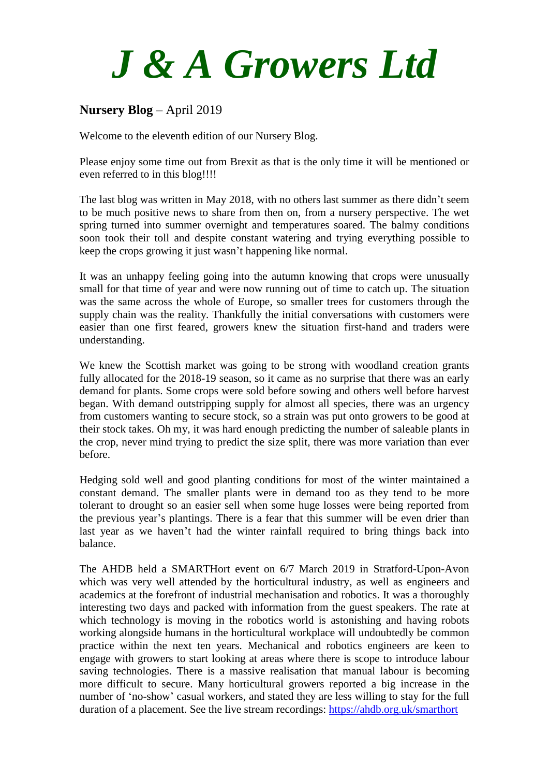# *J & A Growers Ltd*

# **Nursery Blog** – April 2019

Welcome to the eleventh edition of our Nursery Blog.

Please enjoy some time out from Brexit as that is the only time it will be mentioned or even referred to in this blog!!!!

The last blog was written in May 2018, with no others last summer as there didn't seem to be much positive news to share from then on, from a nursery perspective. The wet spring turned into summer overnight and temperatures soared. The balmy conditions soon took their toll and despite constant watering and trying everything possible to keep the crops growing it just wasn't happening like normal.

It was an unhappy feeling going into the autumn knowing that crops were unusually small for that time of year and were now running out of time to catch up. The situation was the same across the whole of Europe, so smaller trees for customers through the supply chain was the reality. Thankfully the initial conversations with customers were easier than one first feared, growers knew the situation first-hand and traders were understanding.

We knew the Scottish market was going to be strong with woodland creation grants fully allocated for the 2018-19 season, so it came as no surprise that there was an early demand for plants. Some crops were sold before sowing and others well before harvest began. With demand outstripping supply for almost all species, there was an urgency from customers wanting to secure stock, so a strain was put onto growers to be good at their stock takes. Oh my, it was hard enough predicting the number of saleable plants in the crop, never mind trying to predict the size split, there was more variation than ever before.

Hedging sold well and good planting conditions for most of the winter maintained a constant demand. The smaller plants were in demand too as they tend to be more tolerant to drought so an easier sell when some huge losses were being reported from the previous year's plantings. There is a fear that this summer will be even drier than last year as we haven't had the winter rainfall required to bring things back into balance.

The AHDB held a SMARTHort event on 6/7 March 2019 in Stratford-Upon-Avon which was very well attended by the horticultural industry, as well as engineers and academics at the forefront of industrial mechanisation and robotics. It was a thoroughly interesting two days and packed with information from the guest speakers. The rate at which technology is moving in the robotics world is astonishing and having robots working alongside humans in the horticultural workplace will undoubtedly be common practice within the next ten years. Mechanical and robotics engineers are keen to engage with growers to start looking at areas where there is scope to introduce labour saving technologies. There is a massive realisation that manual labour is becoming more difficult to secure. Many horticultural growers reported a big increase in the number of 'no-show' casual workers, and stated they are less willing to stay for the full duration of a placement. See the live stream recordings:<https://ahdb.org.uk/smarthort>